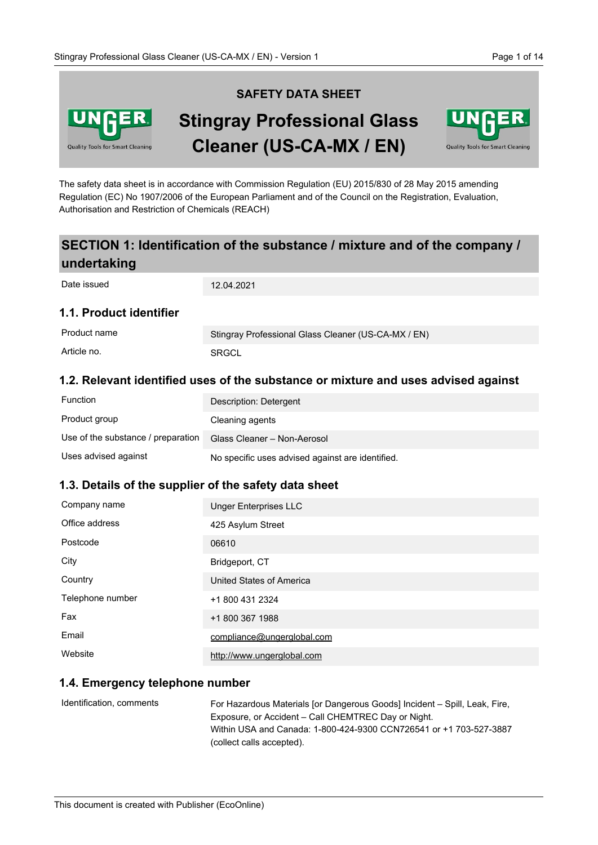

# **SAFETY DATA SHEET Stingray Professional Glass Cleaner (US-CA-MX / EN)**



The safety data sheet is in accordance with Commission Regulation (EU) 2015/830 of 28 May 2015 amending Regulation (EC) No 1907/2006 of the European Parliament and of the Council on the Registration, Evaluation, Authorisation and Restriction of Chemicals (REACH)

## **SECTION 1: Identification of the substance / mixture and of the company / undertaking**

| Date issued             | 12.04.2021                                          |
|-------------------------|-----------------------------------------------------|
| 1.1. Product identifier |                                                     |
| Product name            | Stingray Professional Glass Cleaner (US-CA-MX / EN) |
| Article no.             | <b>SRGCL</b>                                        |

## **1.2. Relevant identified uses of the substance or mixture and uses advised against**

| <b>Function</b>                    | Description: Detergent                           |
|------------------------------------|--------------------------------------------------|
| Product group                      | Cleaning agents                                  |
| Use of the substance / preparation | Glass Cleaner - Non-Aerosol                      |
| Uses advised against               | No specific uses advised against are identified. |

## **1.3. Details of the supplier of the safety data sheet**

| Company name     | <b>Unger Enterprises LLC</b> |
|------------------|------------------------------|
| Office address   | 425 Asylum Street            |
| Postcode         | 06610                        |
| City             | Bridgeport, CT               |
| Country          | United States of America     |
| Telephone number | +1 800 431 2324              |
| Fax              | +1 800 367 1988              |
| Email            | compliance@ungerglobal.com   |
| Website          | http://www.ungerglobal.com   |

## **1.4. Emergency telephone number**

For Hazardous Materials [or Dangerous Goods] Incident – Spill, Leak, Fire, Exposure, or Accident – Call CHEMTREC Day or Night. Within USA and Canada: 1-800-424-9300 CCN726541 or +1 703-527-3887 (collect calls accepted). Identification, comments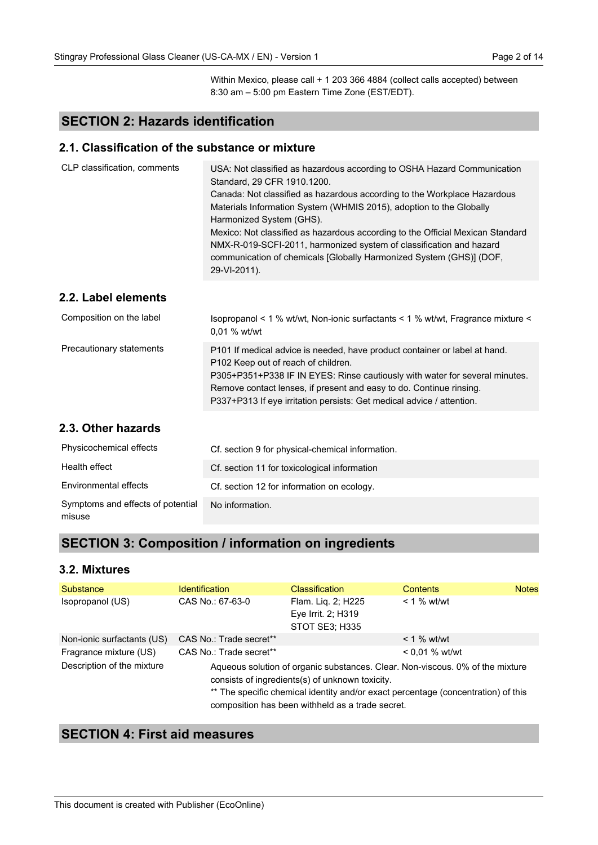Within Mexico, please call + 1 203 366 4884 (collect calls accepted) between 8:30 am – 5:00 pm Eastern Time Zone (EST/EDT).

## **SECTION 2: Hazards identification**

#### **2.1. Classification of the substance or mixture**

| CLP classification, comments | USA: Not classified as hazardous according to OSHA Hazard Communication<br>Standard, 29 CFR 1910.1200.<br>Canada: Not classified as hazardous according to the Workplace Hazardous<br>Materials Information System (WHMIS 2015), adoption to the Globally<br>Harmonized System (GHS).<br>Mexico: Not classified as hazardous according to the Official Mexican Standard<br>NMX-R-019-SCFI-2011, harmonized system of classification and hazard<br>communication of chemicals [Globally Harmonized System (GHS)] (DOF,<br>29-VI-2011). |
|------------------------------|---------------------------------------------------------------------------------------------------------------------------------------------------------------------------------------------------------------------------------------------------------------------------------------------------------------------------------------------------------------------------------------------------------------------------------------------------------------------------------------------------------------------------------------|
| 2.2. Label elements          |                                                                                                                                                                                                                                                                                                                                                                                                                                                                                                                                       |
| Composition on the label     | Isopropanol < 1 % wt/wt, Non-ionic surfactants < 1 % wt/wt, Fragrance mixture <<br>0.01 % wt/wt                                                                                                                                                                                                                                                                                                                                                                                                                                       |
| Precautionary statements     | P101 If medical advice is needed, have product container or label at hand.<br>P102 Keep out of reach of children.<br>P305+P351+P338 IF IN EYES: Rinse cautiously with water for several minutes.<br>Remove contact lenses, if present and easy to do. Continue rinsing.<br>P337+P313 If eye irritation persists: Get medical advice / attention.                                                                                                                                                                                      |
| 2.3. Other hazards           |                                                                                                                                                                                                                                                                                                                                                                                                                                                                                                                                       |

| Physicochemical effects                     | Cf. section 9 for physical-chemical information. |
|---------------------------------------------|--------------------------------------------------|
| Health effect                               | Cf. section 11 for toxicological information     |
| Environmental effects                       | Cf. section 12 for information on ecology.       |
| Symptoms and effects of potential<br>misuse | No information.                                  |

## **SECTION 3: Composition / information on ingredients**

#### **3.2. Mixtures**

| Substance                  | <b>Identification</b>   | <b>Classification</b>                                                                               | <b>Contents</b>                                                                                                                                                    | <b>Notes</b> |
|----------------------------|-------------------------|-----------------------------------------------------------------------------------------------------|--------------------------------------------------------------------------------------------------------------------------------------------------------------------|--------------|
| Isopropanol (US)           | CAS No.: 67-63-0        | Flam. Liq. 2; H225<br>Eye Irrit. 2; H319<br><b>STOT SE3; H335</b>                                   | $< 1$ % wt/wt                                                                                                                                                      |              |
| Non-ionic surfactants (US) | CAS No.: Trade secret** |                                                                                                     | $<$ 1 % wt/wt                                                                                                                                                      |              |
| Fragrance mixture (US)     | CAS No.: Trade secret** |                                                                                                     | $< 0.01 \%$ wt/wt                                                                                                                                                  |              |
| Description of the mixture |                         | consists of ingredients(s) of unknown toxicity.<br>composition has been withheld as a trade secret. | Aqueous solution of organic substances. Clear. Non-viscous. 0% of the mixture<br>** The specific chemical identity and/or exact percentage (concentration) of this |              |

## **SECTION 4: First aid measures**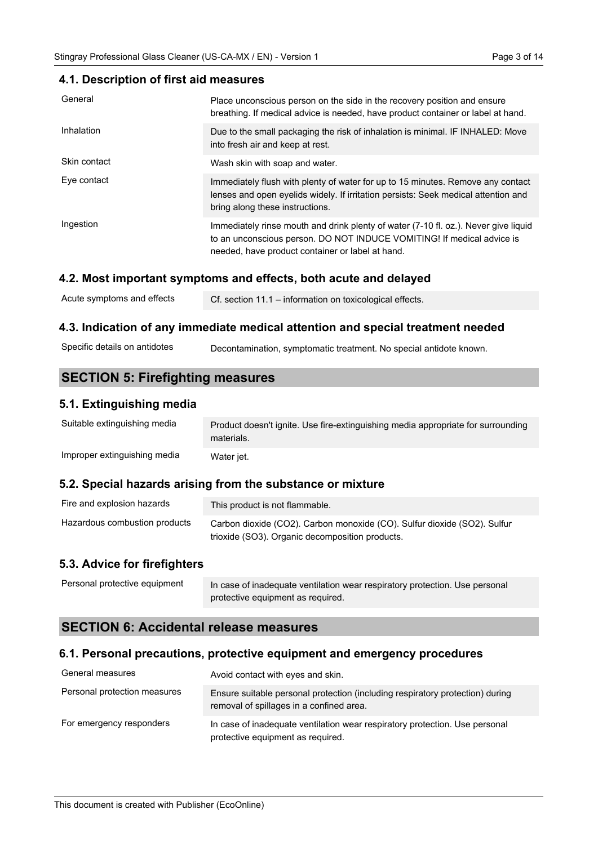#### **4.1. Description of first aid measures**

| General      | Place unconscious person on the side in the recovery position and ensure<br>breathing. If medical advice is needed, have product container or label at hand.                                                      |
|--------------|-------------------------------------------------------------------------------------------------------------------------------------------------------------------------------------------------------------------|
| Inhalation   | Due to the small packaging the risk of inhalation is minimal. IF INHALED: Move<br>into fresh air and keep at rest.                                                                                                |
| Skin contact | Wash skin with soap and water.                                                                                                                                                                                    |
| Eye contact  | Immediately flush with plenty of water for up to 15 minutes. Remove any contact<br>lenses and open eyelids widely. If irritation persists: Seek medical attention and<br>bring along these instructions.          |
| Ingestion    | Immediately rinse mouth and drink plenty of water (7-10 fl. oz.). Never give liquid<br>to an unconscious person. DO NOT INDUCE VOMITING! If medical advice is<br>needed, have product container or label at hand. |

## **4.2. Most important symptoms and effects, both acute and delayed**

| Acute symptoms and effects | Cf. section 11.1 - information on toxicological effects. |
|----------------------------|----------------------------------------------------------|
|----------------------------|----------------------------------------------------------|

#### **4.3. Indication of any immediate medical attention and special treatment needed**

| Specific details on antidotes | Decontamination, symptomatic treatment. No special antidote known. |  |
|-------------------------------|--------------------------------------------------------------------|--|
|-------------------------------|--------------------------------------------------------------------|--|

## **SECTION 5: Firefighting measures**

## **5.1. Extinguishing media**

| Suitable extinguishing media | Product doesn't ignite. Use fire-extinguishing media appropriate for surrounding<br>materials. |
|------------------------------|------------------------------------------------------------------------------------------------|
| Improper extinguishing media | Water jet.                                                                                     |

## **5.2. Special hazards arising from the substance or mixture**

| Fire and explosion hazards    | This product is not flammable.                                           |
|-------------------------------|--------------------------------------------------------------------------|
| Hazardous combustion products | Carbon dioxide (CO2). Carbon monoxide (CO). Sulfur dioxide (SO2). Sulfur |
|                               | trioxide (SO3). Organic decomposition products.                          |

## **5.3. Advice for firefighters**

| Personal protective equipment | In case of inadequate ventilation wear respiratory protection. Use personal |
|-------------------------------|-----------------------------------------------------------------------------|
|                               | protective equipment as required.                                           |

## **SECTION 6: Accidental release measures**

## **6.1. Personal precautions, protective equipment and emergency procedures**

| General measures             | Avoid contact with eyes and skin.                                                                                         |
|------------------------------|---------------------------------------------------------------------------------------------------------------------------|
| Personal protection measures | Ensure suitable personal protection (including respiratory protection) during<br>removal of spillages in a confined area. |
| For emergency responders     | In case of inadequate ventilation wear respiratory protection. Use personal<br>protective equipment as required.          |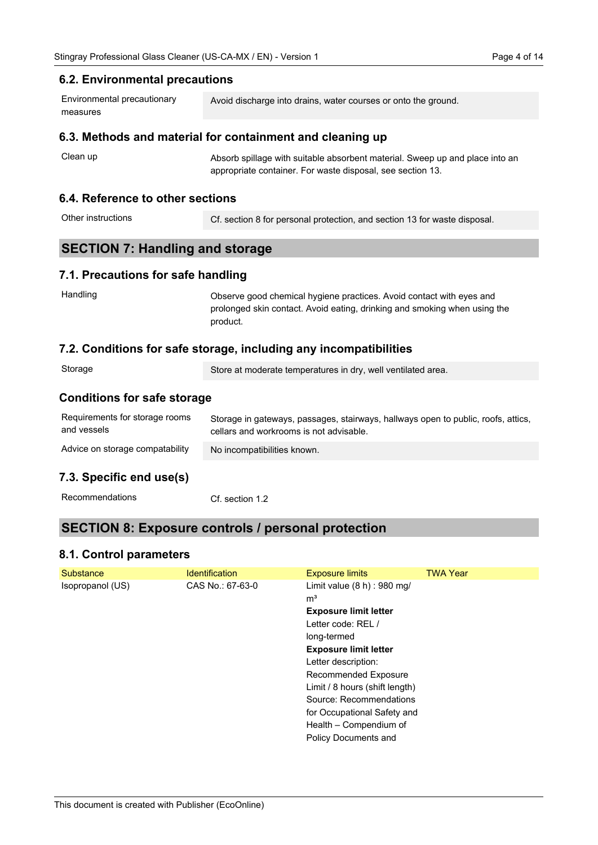## **6.2. Environmental precautions**

| Environmental precautionary | Avoid discharge into drains, water courses or onto the ground. |
|-----------------------------|----------------------------------------------------------------|
| measures                    |                                                                |

## **6.3. Methods and material for containment and cleaning up**

| Clean up | Absorb spillage with suitable absorbent material. Sweep up and place into an |
|----------|------------------------------------------------------------------------------|
|          | appropriate container. For waste disposal, see section 13.                   |

## **6.4. Reference to other sections**

| Other instructions | Cf. section 8 for personal protection, and section 13 for waste disposal. |
|--------------------|---------------------------------------------------------------------------|
|--------------------|---------------------------------------------------------------------------|

## **SECTION 7: Handling and storage**

## **7.1. Precautions for safe handling**

| Handling | Observe good chemical hygiene practices. Avoid contact with eyes and      |
|----------|---------------------------------------------------------------------------|
|          | prolonged skin contact. Avoid eating, drinking and smoking when using the |
|          | product.                                                                  |

## **7.2. Conditions for safe storage, including any incompatibilities**

| Storage                                       | Store at moderate temperatures in dry, well ventilated area.                                                                 |  |
|-----------------------------------------------|------------------------------------------------------------------------------------------------------------------------------|--|
| <b>Conditions for safe storage</b>            |                                                                                                                              |  |
| Requirements for storage rooms<br>and vessels | Storage in gateways, passages, stairways, hallways open to public, roofs, attics,<br>cellars and workrooms is not advisable. |  |
| Advice on storage compatability               | No incompatibilities known.                                                                                                  |  |
|                                               |                                                                                                                              |  |

## **7.3. Specific end use(s)**

## **SECTION 8: Exposure controls / personal protection**

## **8.1. Control parameters**

| Substance        | <b>Identification</b> | <b>Exposure limits</b>         | <b>TWA Year</b> |
|------------------|-----------------------|--------------------------------|-----------------|
| Isopropanol (US) | CAS No.: 67-63-0      | Limit value $(8 h)$ : 980 mg/  |                 |
|                  |                       | m <sup>3</sup>                 |                 |
|                  |                       | <b>Exposure limit letter</b>   |                 |
|                  |                       | Letter code: REL /             |                 |
|                  |                       | long-termed                    |                 |
|                  |                       | <b>Exposure limit letter</b>   |                 |
|                  |                       | Letter description:            |                 |
|                  |                       | Recommended Exposure           |                 |
|                  |                       | Limit / 8 hours (shift length) |                 |
|                  |                       | Source: Recommendations        |                 |
|                  |                       | for Occupational Safety and    |                 |
|                  |                       | Health – Compendium of         |                 |
|                  |                       | Policy Documents and           |                 |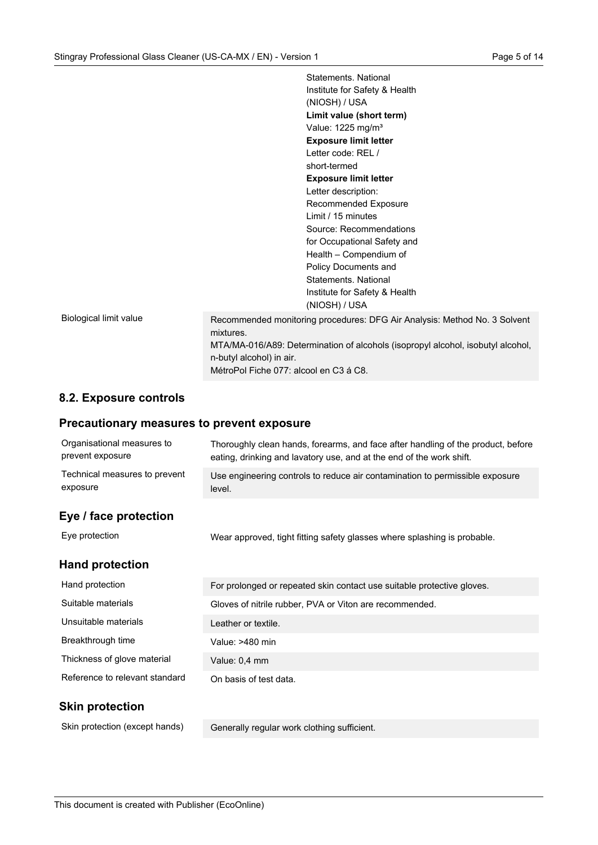|                        | Statements, National                                                                                                                                  |
|------------------------|-------------------------------------------------------------------------------------------------------------------------------------------------------|
|                        | Institute for Safety & Health                                                                                                                         |
|                        | (NIOSH) / USA                                                                                                                                         |
|                        | Limit value (short term)                                                                                                                              |
|                        | Value: 1225 mg/m <sup>3</sup>                                                                                                                         |
|                        | <b>Exposure limit letter</b>                                                                                                                          |
|                        | Letter code: REL /                                                                                                                                    |
|                        | short-termed                                                                                                                                          |
|                        | <b>Exposure limit letter</b>                                                                                                                          |
|                        | Letter description:                                                                                                                                   |
|                        | Recommended Exposure                                                                                                                                  |
|                        | Limit / 15 minutes                                                                                                                                    |
|                        | Source: Recommendations                                                                                                                               |
|                        | for Occupational Safety and                                                                                                                           |
|                        | Health - Compendium of                                                                                                                                |
|                        | Policy Documents and                                                                                                                                  |
|                        | Statements, National                                                                                                                                  |
|                        | Institute for Safety & Health                                                                                                                         |
|                        | (NIOSH) / USA                                                                                                                                         |
| Biological limit value | Recommended monitoring procedures: DFG Air Analysis: Method No. 3 Solvent<br>mixtures.                                                                |
|                        | MTA/MA-016/A89: Determination of alcohols (isopropyl alcohol, isobutyl alcohol,<br>n-butyl alcohol) in air.<br>MétroPol Fiche 077: alcool en C3 á C8. |
|                        |                                                                                                                                                       |

## **8.2. Exposure controls**

## **Precautionary measures to prevent exposure**

| Organisational measures to<br>prevent exposure | Thoroughly clean hands, forearms, and face after handling of the product, before<br>eating, drinking and lavatory use, and at the end of the work shift. |
|------------------------------------------------|----------------------------------------------------------------------------------------------------------------------------------------------------------|
| Technical measures to prevent<br>exposure      | Use engineering controls to reduce air contamination to permissible exposure<br>level.                                                                   |
| Eye / face protection                          |                                                                                                                                                          |
| Eye protection                                 | Wear approved, tight fitting safety glasses where splashing is probable.                                                                                 |
| <b>Hand protection</b>                         |                                                                                                                                                          |
| Hand protection                                | For prolonged or repeated skin contact use suitable protective gloves.                                                                                   |
| Suitable materials                             | Gloves of nitrile rubber, PVA or Viton are recommended.                                                                                                  |
| Unsuitable materials                           | Leather or textile.                                                                                                                                      |
| Breakthrough time                              | Value: >480 min                                                                                                                                          |
| Thickness of glove material                    | Value: 0,4 mm                                                                                                                                            |
| Reference to relevant standard                 | On basis of test data.                                                                                                                                   |
| <b>Skin protection</b>                         |                                                                                                                                                          |

Skin protection (except hands)

Generally regular work clothing sufficient.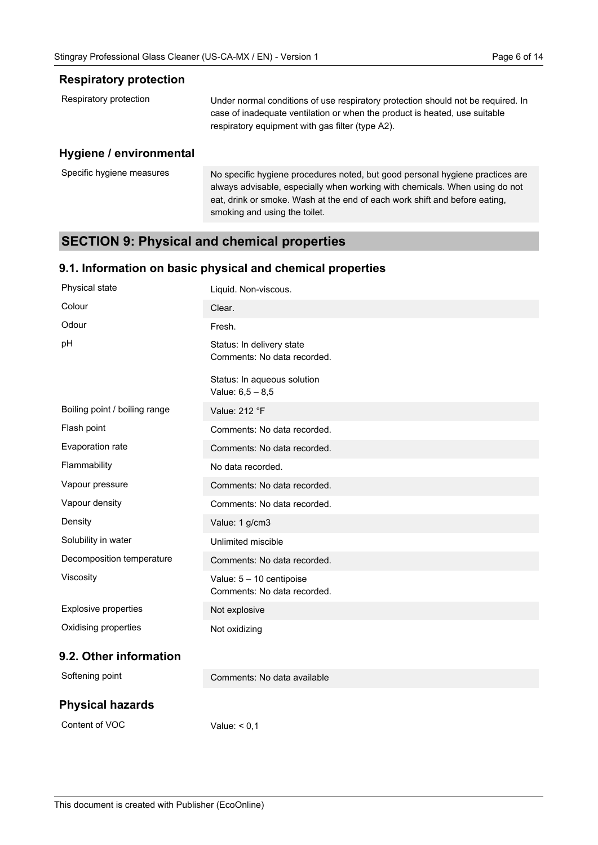#### **Respiratory protection**

| Respiratory protection | Under normal conditions of use respiratory protection should not be required. In<br>case of inadequate ventilation or when the product is heated, use suitable<br>respiratory equipment with gas filter (type A2). |
|------------------------|--------------------------------------------------------------------------------------------------------------------------------------------------------------------------------------------------------------------|
| Uvaiono Lonvironmontol |                                                                                                                                                                                                                    |

#### **Hygiene / environmental**

| Specific hygiene measures | No specific hygiene procedures noted, but good personal hygiene practices are |
|---------------------------|-------------------------------------------------------------------------------|
|                           | always advisable, especially when working with chemicals. When using do not   |
|                           | eat, drink or smoke. Wash at the end of each work shift and before eating,    |
|                           | smoking and using the toilet.                                                 |

## **SECTION 9: Physical and chemical properties**

## **9.1. Information on basic physical and chemical properties**

| Physical state                | Liquid. Non-viscous.                                     |
|-------------------------------|----------------------------------------------------------|
| Colour                        | Clear.                                                   |
| Odour                         | Fresh.                                                   |
| pH                            | Status: In delivery state<br>Comments: No data recorded. |
|                               | Status: In aqueous solution<br>Value: $6,5 - 8,5$        |
| Boiling point / boiling range | Value: 212 °F                                            |
| Flash point                   | Comments: No data recorded.                              |
| Evaporation rate              | Comments: No data recorded.                              |
| Flammability                  | No data recorded.                                        |
| Vapour pressure               | Comments: No data recorded.                              |
| Vapour density                | Comments: No data recorded.                              |
| Density                       | Value: 1 g/cm3                                           |
| Solubility in water           | Unlimited miscible                                       |
| Decomposition temperature     | Comments: No data recorded.                              |
| Viscosity                     | Value: 5 - 10 centipoise<br>Comments: No data recorded.  |
| <b>Explosive properties</b>   | Not explosive                                            |
| Oxidising properties          | Not oxidizing                                            |
| 9.2. Other information        |                                                          |
| Softening point               | Comments: No data available                              |

## **Physical hazards**

Content of VOC

Value:  $< 0.1$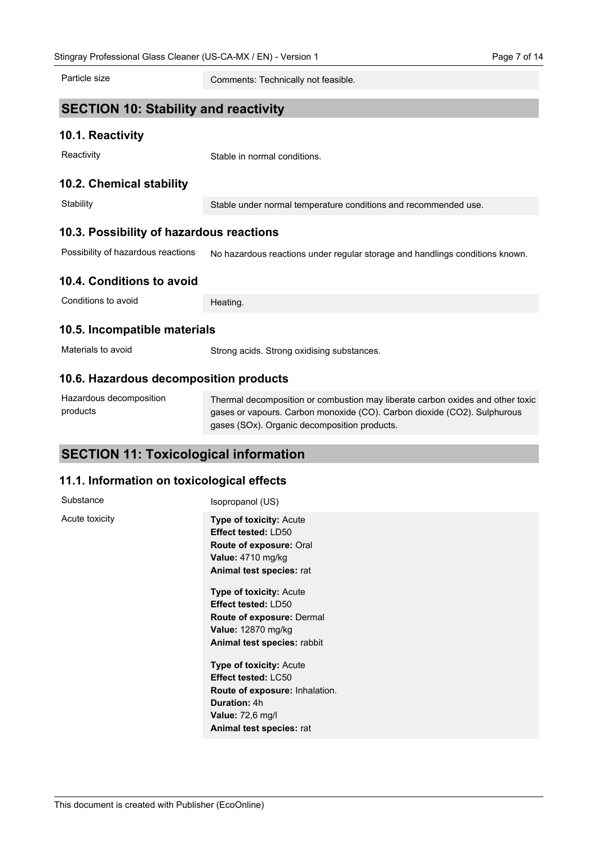Particle size

Comments: Technically not feasible.

## **SECTION 10: Stability and reactivity**

#### **10.1. Reactivity**

**Reactivity** 

Stable in normal conditions.

#### **10.2. Chemical stability**

**Stability** 

Stable under normal temperature conditions and recommended use.

## **10.3. Possibility of hazardous reactions**

No hazardous reactions under regular storage and handlings conditions known. Possibility of hazardous reactions

## **10.4. Conditions to avoid**

Conditions to avoid

Heating.

#### **10.5. Incompatible materials**

Strong acids. Strong oxidising substances. Materials to avoid

## **10.6. Hazardous decomposition products**

| Hazardous decomposition | Thermal decomposition or combustion may liberate carbon oxides and other toxic |
|-------------------------|--------------------------------------------------------------------------------|
| products                | gases or vapours. Carbon monoxide (CO). Carbon dioxide (CO2). Sulphurous       |
|                         | gases (SOx). Organic decomposition products.                                   |

## **SECTION 11: Toxicological information**

## **11.1. Information on toxicological effects**

| Substance      | Isopropanol (US)                                                                                                                                                                                                                                                                                  |
|----------------|---------------------------------------------------------------------------------------------------------------------------------------------------------------------------------------------------------------------------------------------------------------------------------------------------|
| Acute toxicity | <b>Type of toxicity: Acute</b><br><b>Effect tested: LD50</b><br>Route of exposure: Oral<br>Value: 4710 mg/kg<br>Animal test species: rat<br><b>Type of toxicity: Acute</b><br><b>Effect tested: LD50</b><br>Route of exposure: Dermal<br><b>Value: 12870 mg/kg</b><br>Animal test species: rabbit |
|                | <b>Type of toxicity: Acute</b><br>Effect tested: LC50<br>Route of exposure: Inhalation.<br><b>Duration: 4h</b><br><b>Value: 72,6 mg/l</b><br>Animal test species: rat                                                                                                                             |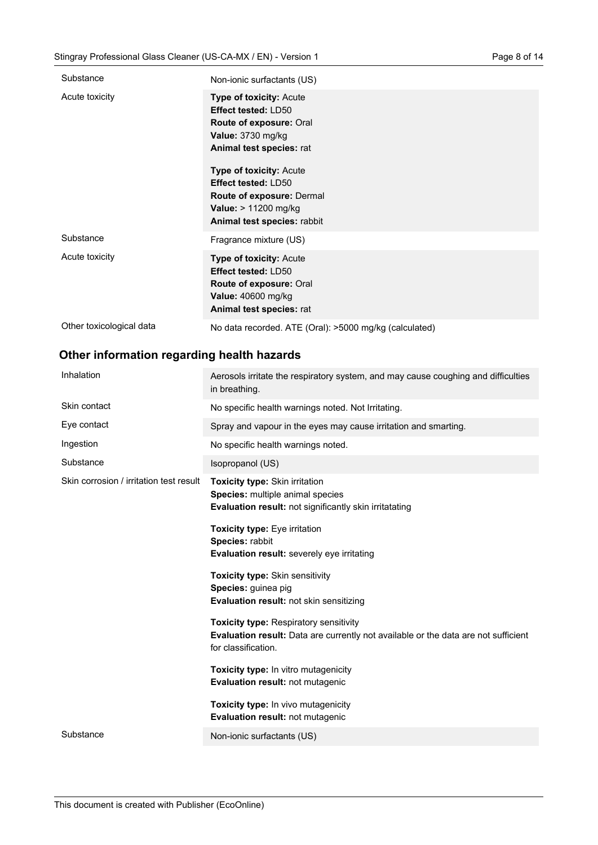| Substance                | Non-ionic surfactants (US)                                                                                                                                                                                                                                                                          |
|--------------------------|-----------------------------------------------------------------------------------------------------------------------------------------------------------------------------------------------------------------------------------------------------------------------------------------------------|
| Acute toxicity           | <b>Type of toxicity: Acute</b><br>Effect tested: LD50<br>Route of exposure: Oral<br>Value: 3730 mg/kg<br>Animal test species: rat<br><b>Type of toxicity: Acute</b><br><b>Effect tested: LD50</b><br><b>Route of exposure: Dermal</b><br><b>Value:</b> > 11200 mg/kg<br>Animal test species: rabbit |
| Substance                | Fragrance mixture (US)                                                                                                                                                                                                                                                                              |
| Acute toxicity           | <b>Type of toxicity: Acute</b><br><b>Effect tested: LD50</b><br><b>Route of exposure: Oral</b><br><b>Value: 40600 mg/kg</b><br>Animal test species: rat                                                                                                                                             |
| Other toxicological data | No data recorded. ATE (Oral): >5000 mg/kg (calculated)                                                                                                                                                                                                                                              |

## **Other information regarding health hazards**

| Inhalation                              | Aerosols irritate the respiratory system, and may cause coughing and difficulties<br>in breathing.                                                         |
|-----------------------------------------|------------------------------------------------------------------------------------------------------------------------------------------------------------|
| Skin contact                            | No specific health warnings noted. Not Irritating.                                                                                                         |
| Eye contact                             | Spray and vapour in the eyes may cause irritation and smarting.                                                                                            |
| Ingestion                               | No specific health warnings noted.                                                                                                                         |
| Substance                               | Isopropanol (US)                                                                                                                                           |
| Skin corrosion / irritation test result | Toxicity type: Skin irritation<br><b>Species:</b> multiple animal species<br><b>Evaluation result:</b> not significantly skin irritatating                 |
|                                         | Toxicity type: Eye irritation<br>Species: rabbit<br><b>Evaluation result:</b> severely eye irritating                                                      |
|                                         | <b>Toxicity type: Skin sensitivity</b><br>Species: guinea pig<br>Evaluation result: not skin sensitizing                                                   |
|                                         | <b>Toxicity type: Respiratory sensitivity</b><br>Evaluation result: Data are currently not available or the data are not sufficient<br>for classification. |
|                                         | Toxicity type: In vitro mutagenicity<br>Evaluation result: not mutagenic                                                                                   |
|                                         | Toxicity type: In vivo mutagenicity<br>Evaluation result: not mutagenic                                                                                    |
| Substance                               | Non-ionic surfactants (US)                                                                                                                                 |
|                                         |                                                                                                                                                            |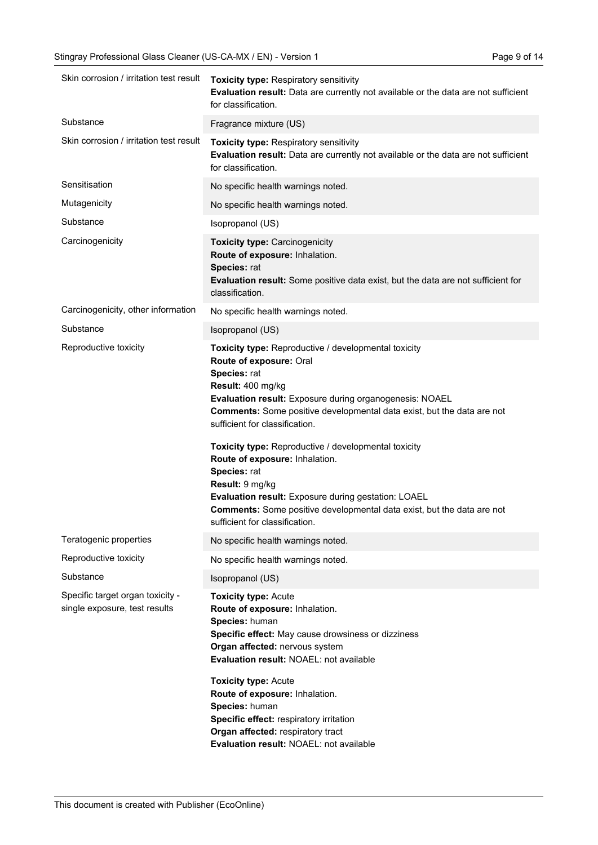| Skin corrosion / irritation test result                           | Toxicity type: Respiratory sensitivity<br>Evaluation result: Data are currently not available or the data are not sufficient<br>for classification.                                                                                                                                                                                                                                                                                                                                                                                                                                                |
|-------------------------------------------------------------------|----------------------------------------------------------------------------------------------------------------------------------------------------------------------------------------------------------------------------------------------------------------------------------------------------------------------------------------------------------------------------------------------------------------------------------------------------------------------------------------------------------------------------------------------------------------------------------------------------|
| Substance                                                         | Fragrance mixture (US)                                                                                                                                                                                                                                                                                                                                                                                                                                                                                                                                                                             |
| Skin corrosion / irritation test result                           | Toxicity type: Respiratory sensitivity<br>Evaluation result: Data are currently not available or the data are not sufficient<br>for classification.                                                                                                                                                                                                                                                                                                                                                                                                                                                |
| Sensitisation                                                     | No specific health warnings noted.                                                                                                                                                                                                                                                                                                                                                                                                                                                                                                                                                                 |
| Mutagenicity                                                      | No specific health warnings noted.                                                                                                                                                                                                                                                                                                                                                                                                                                                                                                                                                                 |
| Substance                                                         | Isopropanol (US)                                                                                                                                                                                                                                                                                                                                                                                                                                                                                                                                                                                   |
| Carcinogenicity                                                   | <b>Toxicity type: Carcinogenicity</b><br>Route of exposure: Inhalation.<br>Species: rat<br>Evaluation result: Some positive data exist, but the data are not sufficient for<br>classification.                                                                                                                                                                                                                                                                                                                                                                                                     |
| Carcinogenicity, other information                                | No specific health warnings noted.                                                                                                                                                                                                                                                                                                                                                                                                                                                                                                                                                                 |
| Substance                                                         | Isopropanol (US)                                                                                                                                                                                                                                                                                                                                                                                                                                                                                                                                                                                   |
| Reproductive toxicity                                             | Toxicity type: Reproductive / developmental toxicity<br>Route of exposure: Oral<br>Species: rat<br>Result: 400 mg/kg<br>Evaluation result: Exposure during organogenesis: NOAEL<br>Comments: Some positive developmental data exist, but the data are not<br>sufficient for classification.<br>Toxicity type: Reproductive / developmental toxicity<br>Route of exposure: Inhalation.<br>Species: rat<br>Result: 9 mg/kg<br>Evaluation result: Exposure during gestation: LOAEL<br><b>Comments:</b> Some positive developmental data exist, but the data are not<br>sufficient for classification. |
| Teratogenic properties                                            | No specific health warnings noted.                                                                                                                                                                                                                                                                                                                                                                                                                                                                                                                                                                 |
| Reproductive toxicity                                             | No specific health warnings noted.                                                                                                                                                                                                                                                                                                                                                                                                                                                                                                                                                                 |
| Substance                                                         | Isopropanol (US)                                                                                                                                                                                                                                                                                                                                                                                                                                                                                                                                                                                   |
| Specific target organ toxicity -<br>single exposure, test results | <b>Toxicity type: Acute</b><br>Route of exposure: Inhalation.<br>Species: human<br>Specific effect: May cause drowsiness or dizziness<br>Organ affected: nervous system<br>Evaluation result: NOAEL: not available<br><b>Toxicity type: Acute</b><br>Route of exposure: Inhalation.<br>Species: human<br>Specific effect: respiratory irritation<br>Organ affected: respiratory tract<br>Evaluation result: NOAEL: not available                                                                                                                                                                   |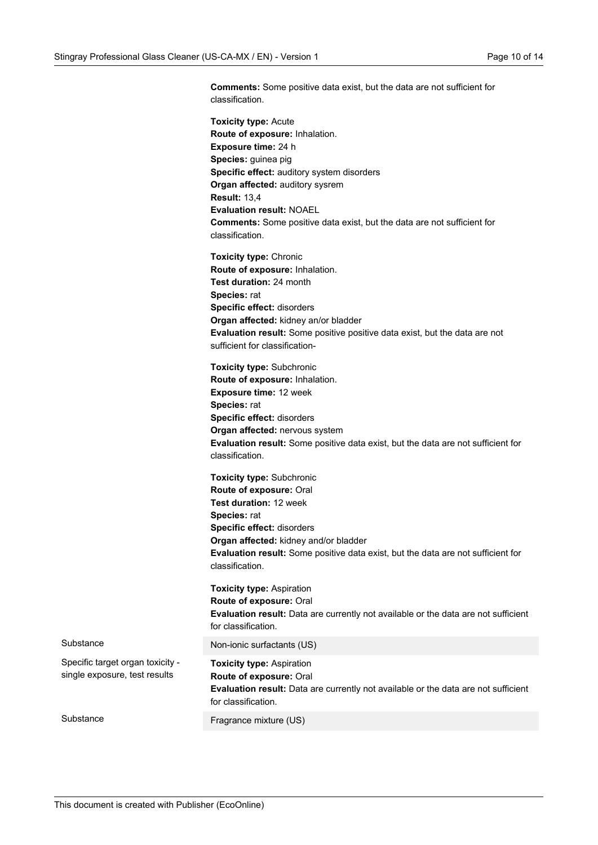**Comments:** Some positive data exist, but the data are not sufficient for classification.

|                                                                   | <b>Toxicity type: Acute</b>                                                                                                                       |
|-------------------------------------------------------------------|---------------------------------------------------------------------------------------------------------------------------------------------------|
|                                                                   | Route of exposure: Inhalation.                                                                                                                    |
|                                                                   | Exposure time: 24 h                                                                                                                               |
|                                                                   | Species: guinea pig                                                                                                                               |
|                                                                   | Specific effect: auditory system disorders                                                                                                        |
|                                                                   | Organ affected: auditory sysrem                                                                                                                   |
|                                                                   | <b>Result: 13,4</b>                                                                                                                               |
|                                                                   | <b>Evaluation result: NOAEL</b>                                                                                                                   |
|                                                                   | <b>Comments:</b> Some positive data exist, but the data are not sufficient for<br>classification.                                                 |
|                                                                   | <b>Toxicity type: Chronic</b>                                                                                                                     |
|                                                                   | Route of exposure: Inhalation.                                                                                                                    |
|                                                                   | Test duration: 24 month                                                                                                                           |
|                                                                   | Species: rat                                                                                                                                      |
|                                                                   | Specific effect: disorders                                                                                                                        |
|                                                                   | Organ affected: kidney an/or bladder                                                                                                              |
|                                                                   | <b>Evaluation result:</b> Some positive positive data exist, but the data are not                                                                 |
|                                                                   | sufficient for classification-                                                                                                                    |
|                                                                   | <b>Toxicity type: Subchronic</b>                                                                                                                  |
|                                                                   | Route of exposure: Inhalation.                                                                                                                    |
|                                                                   | Exposure time: 12 week                                                                                                                            |
|                                                                   | Species: rat                                                                                                                                      |
|                                                                   | Specific effect: disorders                                                                                                                        |
|                                                                   | Organ affected: nervous system                                                                                                                    |
|                                                                   | Evaluation result: Some positive data exist, but the data are not sufficient for<br>classification.                                               |
|                                                                   | <b>Toxicity type: Subchronic</b>                                                                                                                  |
|                                                                   | Route of exposure: Oral                                                                                                                           |
|                                                                   | Test duration: 12 week                                                                                                                            |
|                                                                   | Species: rat                                                                                                                                      |
|                                                                   | Specific effect: disorders                                                                                                                        |
|                                                                   | Organ affected: kidney and/or bladder                                                                                                             |
|                                                                   | Evaluation result: Some positive data exist, but the data are not sufficient for<br>classification.                                               |
|                                                                   | <b>Toxicity type: Aspiration</b>                                                                                                                  |
|                                                                   | Route of exposure: Oral                                                                                                                           |
|                                                                   | Evaluation result: Data are currently not available or the data are not sufficient<br>for classification.                                         |
| Substance                                                         | Non-ionic surfactants (US)                                                                                                                        |
| Specific target organ toxicity -<br>single exposure, test results | <b>Toxicity type: Aspiration</b><br>Route of exposure: Oral<br>Evaluation result: Data are currently not available or the data are not sufficient |
|                                                                   | for classification.                                                                                                                               |
| Substance                                                         | Fragrance mixture (US)                                                                                                                            |
|                                                                   |                                                                                                                                                   |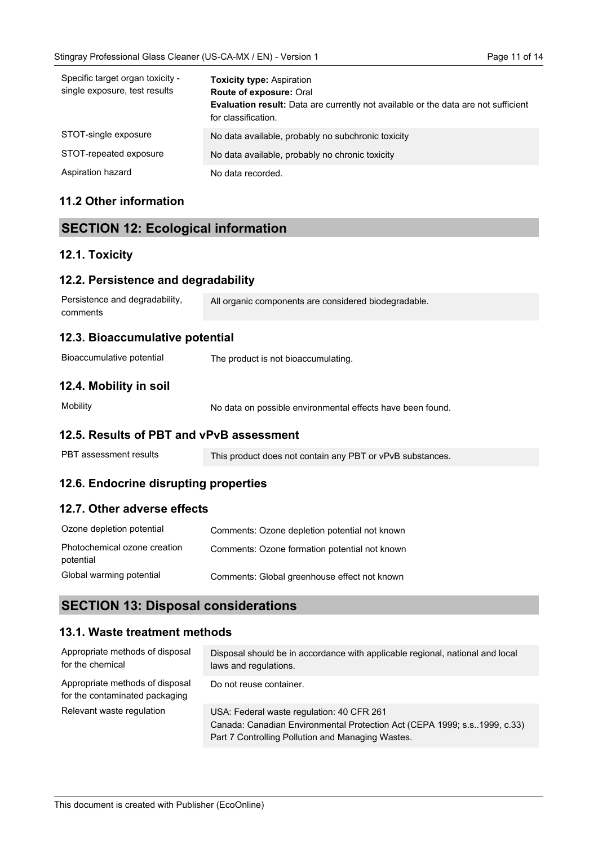| Specific target organ toxicity -<br>single exposure, test results | <b>Toxicity type: Aspiration</b><br>Route of exposure: Oral<br>Evaluation result: Data are currently not available or the data are not sufficient<br>for classification. |
|-------------------------------------------------------------------|--------------------------------------------------------------------------------------------------------------------------------------------------------------------------|
| STOT-single exposure                                              | No data available, probably no subchronic toxicity                                                                                                                       |
| STOT-repeated exposure                                            | No data available, probably no chronic toxicity                                                                                                                          |
| Aspiration hazard                                                 | No data recorded.                                                                                                                                                        |

## **11.2 Other information**

## **SECTION 12: Ecological information**

## **12.1. Toxicity**

| 12.2. Persistence and degradability        |                                                            |
|--------------------------------------------|------------------------------------------------------------|
| Persistence and degradability.<br>comments | All organic components are considered biodegradable.       |
| 12.3. Bioaccumulative potential            |                                                            |
| Bioaccumulative potential                  | The product is not bioaccumulating.                        |
| 12.4. Mobility in soil                     |                                                            |
| Mobility                                   | No data on possible environmental effects have been found. |
| 12.5. Results of PBT and vPvB assessment   |                                                            |
| PBT assessment results                     |                                                            |

## **12.6. Endocrine disrupting properties**

## **12.7. Other adverse effects**

| Ozone depletion potential                 | Comments: Ozone depletion potential not known |
|-------------------------------------------|-----------------------------------------------|
| Photochemical ozone creation<br>potential | Comments: Ozone formation potential not known |
| Global warming potential                  | Comments: Global greenhouse effect not known  |

## **SECTION 13: Disposal considerations**

## **13.1. Waste treatment methods**

| Appropriate methods of disposal<br>for the chemical               | Disposal should be in accordance with applicable regional, national and local<br>laws and regulations.                                                                       |
|-------------------------------------------------------------------|------------------------------------------------------------------------------------------------------------------------------------------------------------------------------|
| Appropriate methods of disposal<br>for the contaminated packaging | Do not reuse container.                                                                                                                                                      |
| Relevant waste regulation                                         | USA: Federal waste regulation: 40 CFR 261<br>Canada: Canadian Environmental Protection Act (CEPA 1999; s.s. 1999, c.33)<br>Part 7 Controlling Pollution and Managing Wastes. |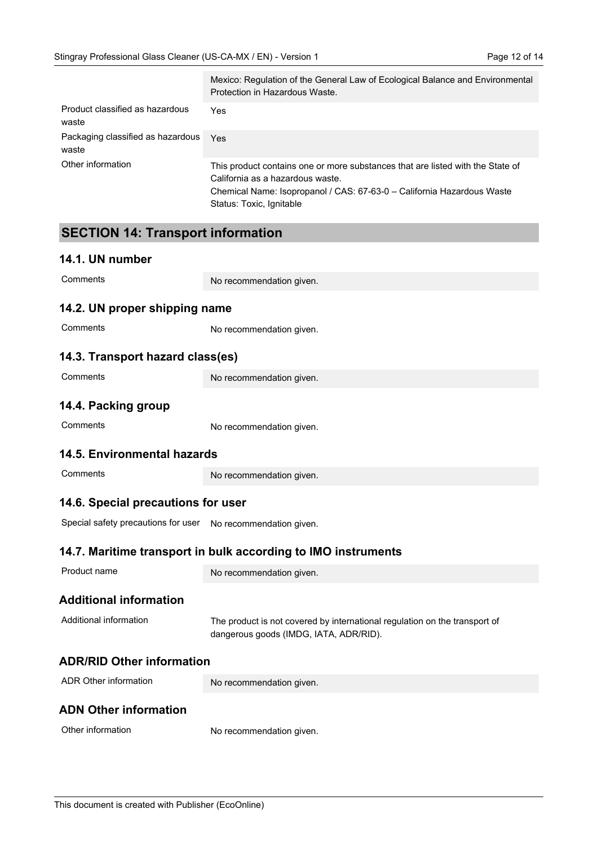|                                            | Mexico: Regulation of the General Law of Ecological Balance and Environmental<br>Protection in Hazardous Waste.                                                                                                          |  |  |
|--------------------------------------------|--------------------------------------------------------------------------------------------------------------------------------------------------------------------------------------------------------------------------|--|--|
| Product classified as hazardous<br>waste   | Yes                                                                                                                                                                                                                      |  |  |
| Packaging classified as hazardous<br>waste | Yes                                                                                                                                                                                                                      |  |  |
| Other information                          | This product contains one or more substances that are listed with the State of<br>California as a hazardous waste.<br>Chemical Name: Isopropanol / CAS: 67-63-0 - California Hazardous Waste<br>Status: Toxic, Ignitable |  |  |
| <b>SECTION 14: Transport information</b>   |                                                                                                                                                                                                                          |  |  |
| 14.1. UN number                            |                                                                                                                                                                                                                          |  |  |
| Comments                                   | No recommendation given.                                                                                                                                                                                                 |  |  |
| 14.2. UN proper shipping name              |                                                                                                                                                                                                                          |  |  |
| Comments                                   | No recommendation given.                                                                                                                                                                                                 |  |  |
| 14.3. Transport hazard class(es)           |                                                                                                                                                                                                                          |  |  |
| Comments                                   | No recommendation given.                                                                                                                                                                                                 |  |  |
| 14.4. Packing group                        |                                                                                                                                                                                                                          |  |  |
| Comments                                   | No recommendation given.                                                                                                                                                                                                 |  |  |
| <b>14.5. Environmental hazards</b>         |                                                                                                                                                                                                                          |  |  |
| Comments                                   | No recommendation given.                                                                                                                                                                                                 |  |  |
| 14.6. Special precautions for user         |                                                                                                                                                                                                                          |  |  |
| Special safety precautions for user        | No recommendation given.                                                                                                                                                                                                 |  |  |
|                                            | 14.7. Maritime transport in bulk according to IMO instruments                                                                                                                                                            |  |  |
| Product name                               | No recommendation given.                                                                                                                                                                                                 |  |  |
| <b>Additional information</b>              |                                                                                                                                                                                                                          |  |  |
| Additional information                     | The product is not covered by international regulation on the transport of<br>dangerous goods (IMDG, IATA, ADR/RID).                                                                                                     |  |  |
| <b>ADR/RID Other information</b>           |                                                                                                                                                                                                                          |  |  |
| ADR Other information                      | No recommendation given.                                                                                                                                                                                                 |  |  |

## **ADN Other information**

| Other information | No recommendation given. |
|-------------------|--------------------------|
|-------------------|--------------------------|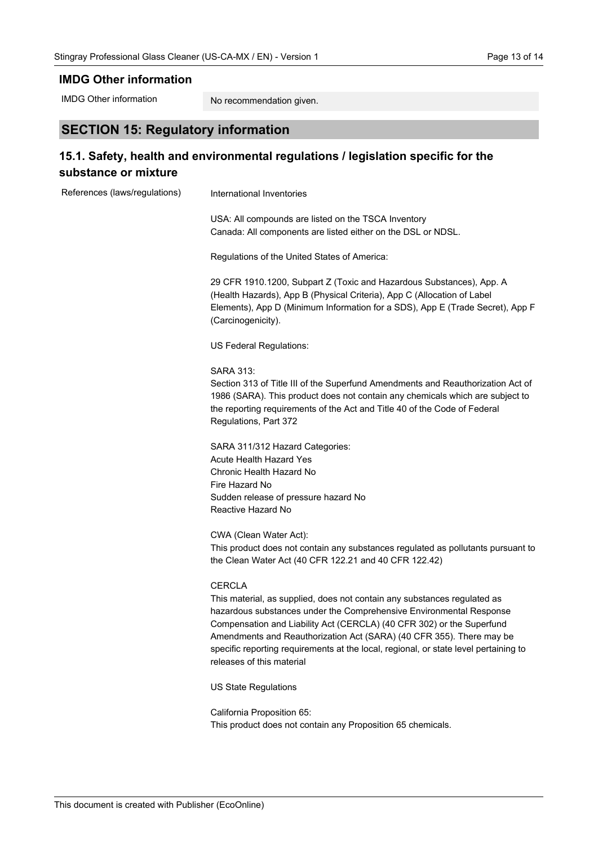#### **IMDG Other information**

IMDG Other information

No recommendation given.

## **SECTION 15: Regulatory information**

## **15.1. Safety, health and environmental regulations / legislation specific for the substance or mixture**

| References (laws/regulations) | International Inventories                                                                                                                                                                                                                                                                                                                                                                                                              |
|-------------------------------|----------------------------------------------------------------------------------------------------------------------------------------------------------------------------------------------------------------------------------------------------------------------------------------------------------------------------------------------------------------------------------------------------------------------------------------|
|                               | USA: All compounds are listed on the TSCA Inventory<br>Canada: All components are listed either on the DSL or NDSL.                                                                                                                                                                                                                                                                                                                    |
|                               | Regulations of the United States of America:                                                                                                                                                                                                                                                                                                                                                                                           |
|                               | 29 CFR 1910.1200, Subpart Z (Toxic and Hazardous Substances), App. A<br>(Health Hazards), App B (Physical Criteria), App C (Allocation of Label<br>Elements), App D (Minimum Information for a SDS), App E (Trade Secret), App F<br>(Carcinogenicity).                                                                                                                                                                                 |
|                               | US Federal Regulations:                                                                                                                                                                                                                                                                                                                                                                                                                |
|                               | <b>SARA 313:</b><br>Section 313 of Title III of the Superfund Amendments and Reauthorization Act of<br>1986 (SARA). This product does not contain any chemicals which are subject to<br>the reporting requirements of the Act and Title 40 of the Code of Federal<br>Regulations, Part 372                                                                                                                                             |
|                               | SARA 311/312 Hazard Categories:<br>Acute Health Hazard Yes<br>Chronic Health Hazard No<br>Fire Hazard No<br>Sudden release of pressure hazard No<br>Reactive Hazard No                                                                                                                                                                                                                                                                 |
|                               | CWA (Clean Water Act):<br>This product does not contain any substances regulated as pollutants pursuant to<br>the Clean Water Act (40 CFR 122.21 and 40 CFR 122.42)                                                                                                                                                                                                                                                                    |
|                               | <b>CERCLA</b><br>This material, as supplied, does not contain any substances regulated as<br>hazardous substances under the Comprehensive Environmental Response<br>Compensation and Liability Act (CERCLA) (40 CFR 302) or the Superfund<br>Amendments and Reauthorization Act (SARA) (40 CFR 355). There may be<br>specific reporting requirements at the local, regional, or state level pertaining to<br>releases of this material |
|                               | <b>US State Regulations</b>                                                                                                                                                                                                                                                                                                                                                                                                            |
|                               | California Proposition 65:<br>This product does not contain any Proposition 65 chemicals.                                                                                                                                                                                                                                                                                                                                              |